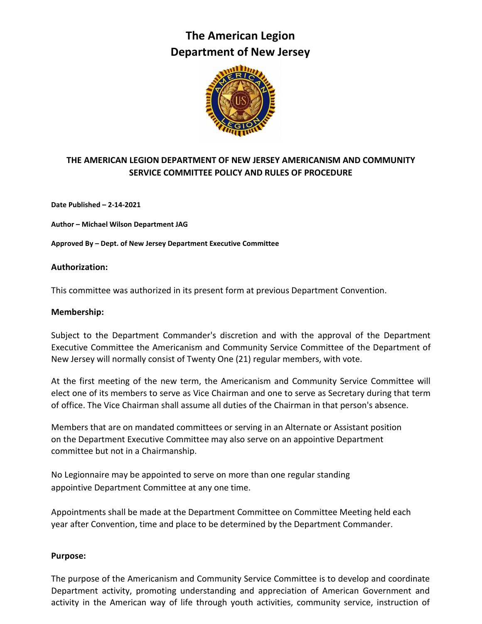# **The American Legion Department of New Jersey**



## **THE AMERICAN LEGION DEPARTMENT OF NEW JERSEY AMERICANISM AND COMMUNITY SERVICE COMMITTEE POLICY AND RULES OF PROCEDURE**

**Date Published – 2-14-2021**

**Author – Michael Wilson Department JAG**

**Approved By – Dept. of New Jersey Department Executive Committee** 

#### **Authorization:**

This committee was authorized in its present form at previous Department Convention.

#### **Membership:**

Subject to the Department Commander's discretion and with the approval of the Department Executive Committee the Americanism and Community Service Committee of the Department of New Jersey will normally consist of Twenty One (21) regular members, with vote.

At the first meeting of the new term, the Americanism and Community Service Committee will elect one of its members to serve as Vice Chairman and one to serve as Secretary during that term of office. The Vice Chairman shall assume all duties of the Chairman in that person's absence.

Members that are on mandated committees or serving in an Alternate or Assistant position on the Department Executive Committee may also serve on an appointive Department committee but not in a Chairmanship.

No Legionnaire may be appointed to serve on more than one regular standing appointive Department Committee at any one time.

Appointments shall be made at the Department Committee on Committee Meeting held each year after Convention, time and place to be determined by the Department Commander.

#### **Purpose:**

The purpose of the Americanism and Community Service Committee is to develop and coordinate Department activity, promoting understanding and appreciation of American Government and activity in the American way of life through youth activities, community service, instruction of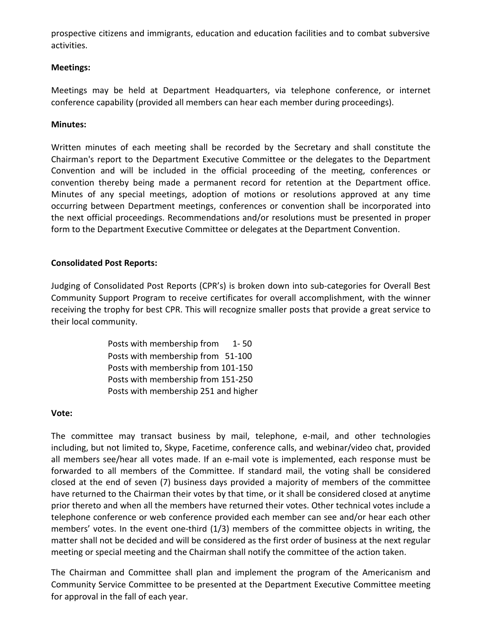prospective citizens and immigrants, education and education facilities and to combat subversive activities.

## **Meetings:**

Meetings may be held at Department Headquarters, via telephone conference, or internet conference capability (provided all members can hear each member during proceedings).

#### **Minutes:**

Written minutes of each meeting shall be recorded by the Secretary and shall constitute the Chairman's report to the Department Executive Committee or the delegates to the Department Convention and will be included in the official proceeding of the meeting, conferences or convention thereby being made a permanent record for retention at the Department office. Minutes of any special meetings, adoption of motions or resolutions approved at any time occurring between Department meetings, conferences or convention shall be incorporated into the next official proceedings. Recommendations and/or resolutions must be presented in proper form to the Department Executive Committee or delegates at the Department Convention.

## **Consolidated Post Reports:**

Judging of Consolidated Post Reports (CPR's) is broken down into sub-categories for Overall Best Community Support Program to receive certificates for overall accomplishment, with the winner receiving the trophy for best CPR. This will recognize smaller posts that provide a great service to their local community.

> Posts with membership from 1-50 Posts with membership from 51-100 Posts with membership from 101-150 Posts with membership from 151-250 Posts with membership 251 and higher

#### **Vote:**

The committee may transact business by mail, telephone, e-mail, and other technologies including, but not limited to, Skype, Facetime, conference calls, and webinar/video chat, provided all members see/hear all votes made. If an e-mail vote is implemented, each response must be forwarded to all members of the Committee. If standard mail, the voting shall be considered closed at the end of seven (7) business days provided a majority of members of the committee have returned to the Chairman their votes by that time, or it shall be considered closed at anytime prior thereto and when all the members have returned their votes. Other technical votes include a telephone conference or web conference provided each member can see and/or hear each other members' votes. In the event one-third (1/3) members of the committee objects in writing, the matter shall not be decided and will be considered as the first order of business at the next regular meeting or special meeting and the Chairman shall notify the committee of the action taken.

The Chairman and Committee shall plan and implement the program of the Americanism and Community Service Committee to be presented at the Department Executive Committee meeting for approval in the fall of each year.